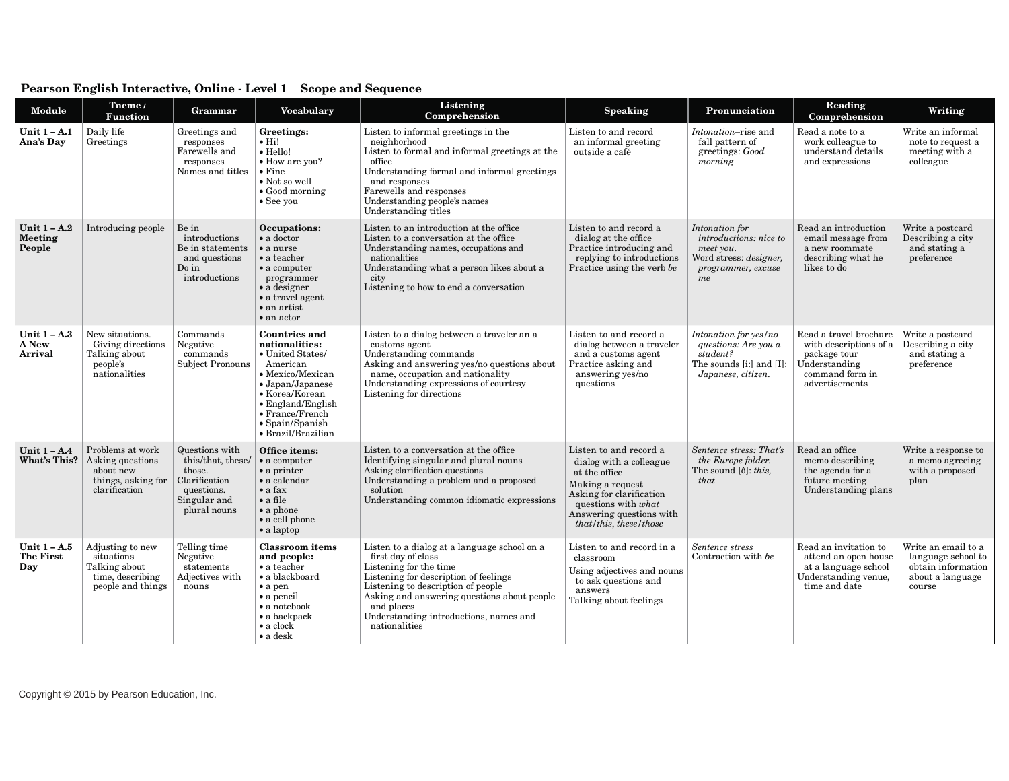| <b>Module</b>                             | Theme /<br><b>Function</b>                                                               | Grammar                                                                                                      | <b>Vocabulary</b>                                                                                                                                                                                                                                 | Listening<br>Comprehension                                                                                                                                                                                                                                                                          | <b>Speaking</b>                                                                                                                                                                                 | Pronunciation                                                                                                       | Reading<br>Comprehension                                                                                               | Writing                                                                                       |
|-------------------------------------------|------------------------------------------------------------------------------------------|--------------------------------------------------------------------------------------------------------------|---------------------------------------------------------------------------------------------------------------------------------------------------------------------------------------------------------------------------------------------------|-----------------------------------------------------------------------------------------------------------------------------------------------------------------------------------------------------------------------------------------------------------------------------------------------------|-------------------------------------------------------------------------------------------------------------------------------------------------------------------------------------------------|---------------------------------------------------------------------------------------------------------------------|------------------------------------------------------------------------------------------------------------------------|-----------------------------------------------------------------------------------------------|
| Unit $1 - A.1$<br>Ana's Day               | Daily life<br>Greetings                                                                  | Greetings and<br>responses<br>Farewells and<br>responses<br>Names and titles                                 | Greetings:<br>$\bullet$ Hi!<br>$\bullet$ Hello!<br>• How are you?<br>$\bullet$ Fine<br>• Not so well<br>$\bullet$ Good morning<br>$\bullet$ See you                                                                                               | Listen to informal greetings in the<br>neighborhood<br>Listen to formal and informal greetings at the<br>office<br>Understanding formal and informal greetings<br>and responses<br>Farewells and responses<br>Understanding people's names<br>Understanding titles                                  | Listen to and record<br>an informal greeting<br>outside a café                                                                                                                                  | <i>Intonation</i> -rise and<br>fall pattern of<br>greetings: Good<br>morning                                        | Read a note to a<br>work colleague to<br>understand details<br>and expressions                                         | Write an informal<br>note to request a<br>meeting with a<br>colleague                         |
| Unit $1 - A.2$<br>Meeting<br>People       | Introducing people                                                                       | Be in<br>introductions<br>Be in statements<br>and questions<br>$Do$ in<br>introductions                      | Occupations:<br>$\bullet$ a doctor<br>$\bullet$ a nurse<br>$\bullet$ a teacher<br>$\bullet$ a computer<br>programmer<br>$\bullet$ a designer<br>$\bullet$ a travel agent<br>$\bullet$ an artist<br>$\bullet$ an actor                             | Listen to an introduction at the office<br>Listen to a conversation at the office<br>Understanding names, occupations and<br>nationalities<br>Understanding what a person likes about a<br>city<br>Listening to how to end a conversation                                                           | Listen to and record a<br>dialog at the office<br>Practice introducing and<br>replying to introductions<br>Practice using the verb be                                                           | Intonation for<br>introductions: nice to<br>meet you.<br>Word stress: <i>designer</i> ,<br>programmer, excuse<br>me | Read an introduction<br>email message from<br>a new roommate<br>describing what he<br>likes to do                      | Write a postcard<br>Describing a city<br>and stating a<br>preference                          |
| Unit $1 - A.3$<br>A New<br>Arrival        | New situations.<br>Giving directions<br>Talking about<br>people's<br>nationalities       | Commands<br>Negative<br>commands<br>Subject Pronouns                                                         | <b>Countries and</b><br>nationalities:<br>• United States/<br>American<br>• Mexico/Mexican<br>$\bullet$ Japan/Japanese<br>• Korea/Korean<br>$\bullet$ England/English<br>$\bullet$ France/French<br>$\bullet$ Spain/Spanish<br>· Brazil/Brazilian | Listen to a dialog between a traveler an a<br>customs agent<br>Understanding commands<br>Asking and answering yes/no questions about<br>name, occupation and nationality<br>Understanding expressions of courtesy<br>Listening for directions                                                       | Listen to and record a<br>dialog between a traveler<br>and a customs agent<br>Practice asking and<br>answering yes/no<br>questions                                                              | Intonation for yes/no<br>questions: Are you a<br>student?<br>The sounds [i:] and [I]:<br>Japanese, citizen.         | Read a travel brochure<br>with descriptions of a<br>package tour<br>Understanding<br>command form in<br>advertisements | Write a postcard<br>Describing a city<br>and stating a<br>preference                          |
| Unit $1 - A.4$<br>What's This?            | Problems at work<br>Asking questions<br>about new<br>things, asking for<br>clarification | Questions with<br>this/that, these/<br>those.<br>Clarification<br>questions.<br>Singular and<br>plural nouns | Office items:<br>$\bullet$ a computer<br>$\bullet$ a printer<br>$\bullet$ a calendar<br>$\bullet$ a fax<br>$\bullet$ a file<br>$\bullet$ a phone<br>$\bullet$ a cell phone<br>$\bullet$ a laptop                                                  | Listen to a conversation at the office<br>Identifying singular and plural nouns<br>Asking clarification questions<br>Understanding a problem and a proposed<br>solution<br>Understanding common idiomatic expressions                                                                               | Listen to and record a<br>dialog with a colleague<br>at the office<br>Making a request<br>Asking for clarification<br>questions with what<br>Answering questions with<br>that/this, these/those | Sentence stress: That's<br>the Europe folder.<br>The sound $[\delta]$ : <i>this</i> ,<br>that                       | Read an office<br>memo describing<br>the agenda for a<br>future meeting<br>Understanding plans                         | Write a response to<br>a memo agreeing<br>with a proposed<br>plan                             |
| Unit $1 - A.5$<br><b>The First</b><br>Day | Adjusting to new<br>situations<br>Talking about<br>time, describing<br>people and things | Telling time<br>Negative<br>statements<br>Adjectives with<br>nouns                                           | <b>Classroom</b> items<br>and people:<br>$\bullet$ a teacher<br>• a blackboard<br>$\bullet$ a pen<br>$\bullet$ a pencil<br>$\bullet$ a notebook<br>$\bullet$ a backpack<br>$\bullet$ a clock<br>$\bullet$ a desk                                  | Listen to a dialog at a language school on a<br>first day of class<br>Listening for the time<br>Listening for description of feelings<br>Listening to description of people<br>Asking and answering questions about people<br>and places<br>Understanding introductions, names and<br>nationalities | Listen to and record in a<br>classroom<br>Using adjectives and nouns<br>to ask questions and<br>answers<br>Talking about feelings                                                               | Sentence stress<br>Contraction with be                                                                              | Read an invitation to<br>attend an open house<br>at a language school<br>Understanding venue,<br>time and date         | Write an email to a<br>language school to<br>obtain information<br>about a language<br>course |

## **Pearson English Interactive, Online - Level 1 Scope and Sequence**

Copyright © 2015 by Pearson Education, Inc.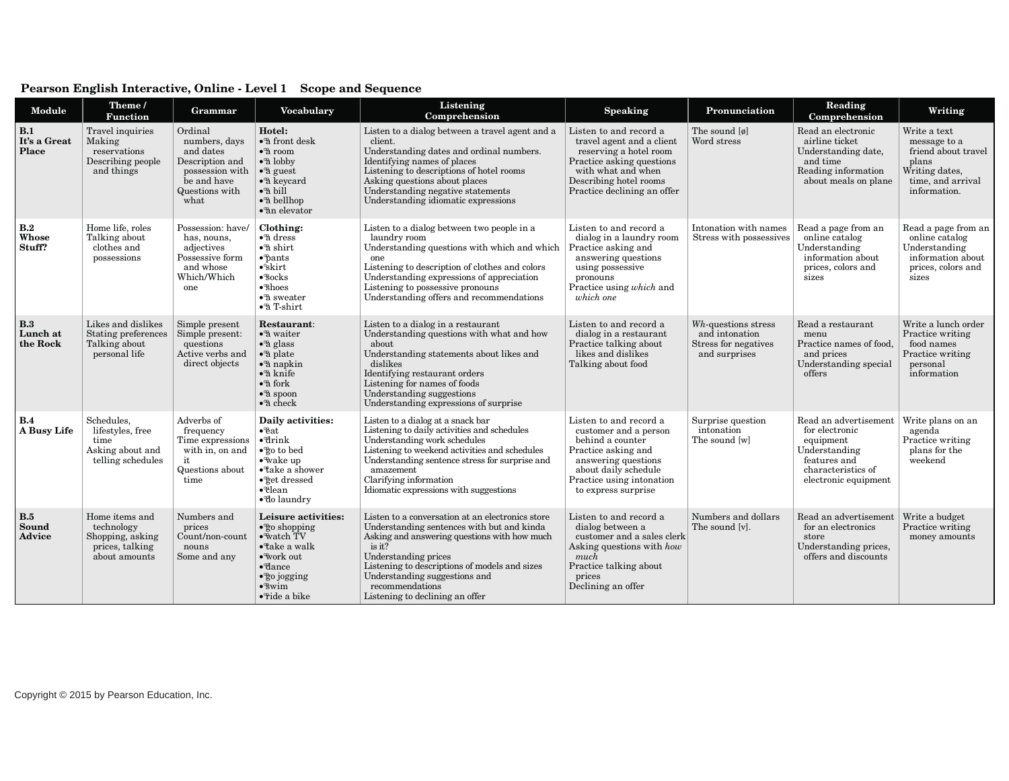| Module                             | Theme /<br><b>Function</b>                                                           | Grammar                                                                                                              | <b>Vocabulary</b>                                                                                                                                                                                                                                                              | Listening<br>Comprehension                                                                                                                                                                                                                                                                                               | <b>Speaking</b>                                                                                                                                                                               | Pronunciation                                                                  | Reading<br>Comprehension                                                                                                            | Writing                                                                                                             |
|------------------------------------|--------------------------------------------------------------------------------------|----------------------------------------------------------------------------------------------------------------------|--------------------------------------------------------------------------------------------------------------------------------------------------------------------------------------------------------------------------------------------------------------------------------|--------------------------------------------------------------------------------------------------------------------------------------------------------------------------------------------------------------------------------------------------------------------------------------------------------------------------|-----------------------------------------------------------------------------------------------------------------------------------------------------------------------------------------------|--------------------------------------------------------------------------------|-------------------------------------------------------------------------------------------------------------------------------------|---------------------------------------------------------------------------------------------------------------------|
| B.1<br>It's a Great<br>Place       | Travel inquiries<br>Making<br>reservations<br>Describing people<br>and things        | Ordinal<br>numbers, days<br>and dates<br>Description and<br>possession with<br>be and have<br>Questions with<br>what | Hotel:<br>$\bullet$ <sup>3</sup> front desk<br>$\bullet$ <sup>3</sup> room<br>$\bullet$ <sup>o</sup> a lobby<br>$\bullet$ <sup>3</sup> guest<br>$\bullet$ <sup>3</sup> keycard<br>$\bullet$ <sup>3</sup> bill<br>•ª bellhop<br>$\bullet$ <sup>3</sup> n elevator               | Listen to a dialog between a travel agent and a<br>client.<br>Understanding dates and ordinal numbers.<br>Identifying names of places<br>Listening to descriptions of hotel rooms<br>Asking questions about places<br>Understanding negative statements<br>Understanding idiomatic expressions                           | Listen to and record a<br>travel agent and a client<br>reserving a hotel room<br>Practice asking questions<br>with what and when<br>Describing hotel rooms<br>Practice declining an offer     | The sound $\lbrack \emptyset \rbrack$<br>Word stress                           | Read an electronic<br>airline ticket<br>Understanding date,<br>and time<br>Reading information<br>about meals on plane              | Write a text<br>message to a<br>friend about travel<br>plans<br>Writing dates,<br>time, and arrival<br>information. |
| B.2<br>Whose<br>Stuff?             | Home life, roles<br>Talking about<br>clothes and<br>possessions                      | Possession: have/<br>has, nouns,<br>adjectives<br>Possessive form<br>and whose<br>Which/Which<br>one                 | Clothing:<br>$\bullet$ <sup>3</sup> dress<br>$\cdot$ <sup>3</sup> shirt<br>$\bullet$ $\phi$ ants<br>$\bullet$ <sup>°</sup> skirt<br>$\bullet$ <sup>8</sup> ocks<br>$\bullet$ <sup>®</sup> shoes<br>$\cdot$ <sup>2</sup> sweater<br>$\bullet$ <sup>3</sup> T-shirt              | Listen to a dialog between two people in a<br>laundry room<br>Understanding questions with which and which<br>one<br>Listening to description of clothes and colors<br>Understanding expressions of appreciation<br>Listening to possessive pronouns<br>Understanding offers and recommendations                         | Listen to and record a<br>dialog in a laundry room<br>Practice asking and<br>answering questions<br>using possessive<br>pronouns<br>Practice using which and<br>which one                     | Intonation with names<br>Stress with possessives                               | Read a page from an<br>online catalog<br>Understanding<br>information about<br>prices, colors and<br>sizes                          | Read a page from an<br>online catalog<br>Understanding<br>information about<br>prices, colors and<br>sizes          |
| <b>B.3</b><br>Lunch at<br>the Rock | Likes and dislikes<br>Stating preferences<br>Talking about<br>personal life          | Simple present<br>Simple present:<br>questions<br>Active verbs and<br>direct objects                                 | Restaurant:<br>$\bullet$ <sup>3</sup> waiter<br>$\bullet$ <sup>3</sup> glass<br>$\bullet$ <sup>3</sup> plate<br>$\bullet$ <sup>3</sup> napkin<br>$\bullet$ <sup>3</sup> knife<br>$\bullet$ <sup>o</sup> a fork<br>$\bullet$ <sup>3</sup> spoon<br>$\bullet$ <sup>3</sup> check | Listen to a dialog in a restaurant<br>Understanding questions with what and how<br>about<br>Understanding statements about likes and<br>dislikes<br>Identifying restaurant orders<br>Listening for names of foods<br>Understanding suggestions<br>Understanding expressions of surprise                                  | Listen to and record a<br>dialog in a restaurant<br>Practice talking about<br>likes and dislikes<br>Talking about food                                                                        | Wh-questions stress<br>and intonation<br>Stress for negatives<br>and surprises | Read a restaurant<br>menu<br>Practice names of food,<br>and prices<br>Understanding special<br>offers                               | Write a lunch order<br>Practice writing<br>food names<br>Practice writing<br>personal<br>information                |
| <b>B.4</b><br>A Busy Life          | Schedules,<br>lifestyles, free<br>time<br>Asking about and<br>telling schedules      | Adverbs of<br>frequency<br>Time expressions<br>with in, on and<br>it<br>Questions about<br>time                      | Daily activities:<br>$\bullet$ <sup><math>\circ</math></sup> eat<br>$\bullet$ <sup><math>d</math>rink</sup><br>●go to bed<br>$\bullet$ wake up<br>$\bullet$ <sup>*</sup> take a shower<br>$\bullet$ <sup>®</sup> get dressed<br>$\bullet$ clean<br>· do laundry                | Listen to a dialog at a snack bar<br>Listening to daily activities and schedules<br>Understanding work schedules<br>Listening to weekend activities and schedules<br>Understanding sentence stress for surprise and<br>amazement<br>Clarifying information<br>Idiomatic expressions with suggestions                     | Listen to and record a<br>customer and a person<br>behind a counter<br>Practice asking and<br>answering questions<br>about daily schedule<br>Practice using intonation<br>to express surprise | Surprise question<br>intonation<br>The sound [w]                               | Read an advertisement<br>for electronic<br>equipment<br>Understanding<br>features and<br>characteristics of<br>electronic equipment | Write plans on an<br>agenda<br>Practice writing<br>plans for the<br>weekend                                         |
| <b>B.5</b><br>Sound<br>Advice      | Home items and<br>technology<br>Shopping, asking<br>prices, talking<br>about amounts | Numbers and<br>prices<br>Count/non-count<br>nouns<br>Some and any                                                    | Leisure activities:<br>$\cdot$ $\circ$ $\circ$ shopping<br>$\bullet$ watch TV<br>$\bullet$ <sup>n</sup> ake a walk<br>• work out<br>$\bullet$ <sup><math>\theta</math></sup> dance<br>$\bullet$ go jogging<br>$\cdot$ swim<br>$\bullet$ ride a bike                            | Listen to a conversation at an electronics store<br>Understanding sentences with but and kinda<br>Asking and answering questions with how much<br>is it?<br>Understanding prices<br>Listening to descriptions of models and sizes<br>Understanding suggestions and<br>recommendations<br>Listening to declining an offer | Listen to and record a<br>dialog between a<br>customer and a sales clerk<br>Asking questions with how<br>much<br>Practice talking about<br>prices<br>Declining an offer                       | Numbers and dollars<br>The sound [v].                                          | Read an advertisement<br>for an electronics<br>store<br>Understanding prices,<br>offers and discounts                               | Write a budget<br>Practice writing<br>money amounts                                                                 |

## **Pearson English Interactive, Online - Level 1 Scope and Sequence**